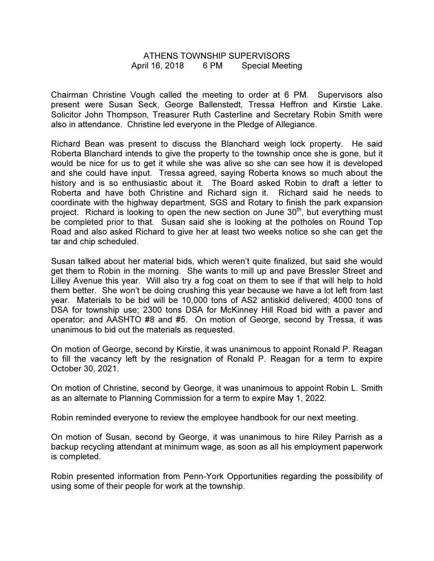## ATHENS TOWNSHIP SUPERVISORS April 16, 2018 6 PM Special Meeting

Chairman Christine Vough called the meeting to order at 6 PM. Supervisors also present were Susan Seck, George Ballenstedt, Tressa Heffron and Kirstie Lake. Solicitor John Thompson, Treasurer Ruth Casterline and Secretary Robin Smith were also in attendance. Christine led everyone in the Pledge of Allegiance.

Richard Bean was present to discuss the Blanchard weigh lock property. He said Roberta Blanchard intends to give the property to the township once she is gone, but it would be nice for us to get it while she was alive so she can see how it is developed and she could have input. Tressa agreed, saying Roberta knows so much about the history and is so enthusiastic about it. The Board asked Robin to draft a letter to Roberta and have both Christine and Richard sign it. Richard said he needs to coordinate with the highway department, SGS and Rotary to finish the park expansion project. Richard is looking to open the new section on June  $30<sup>th</sup>$ , but everything must be completed prior to that. Susan said she is looking at the potholes on Round Top Road and also asked Richard to give her at least two weeks notice so she can get the tar and chip scheduled.

Susan talked about her material bids, which weren't quite finalized, but said she would get them to Robin in the morning. She wants to mill up and pave Bressler Street and Lilley Avenue this year. Will also try a fog coat on them to see if that will help to hold them better. She won't be doing crushing this year because we have a lot left from last year. Materials to be bid will be 10,000 tons of AS2 antiskid delivered; 4000 tons of DSA for township use; 2300 tons DSA for McKinney Hill Road bid with a paver and operator; and AASHTO #8 and #5. On motion of George, second by Tressa, it was unanimous to bid out the materials as requested.

On motion of George, second by Kirstie, it was unanimous to appoint Ronald P. Reagan to fill the vacancy left by the resignation of Ronald P. Reagan for a term to expire October 30, 2021.

On motion of Christine, second by George, it was unanimous to appoint Robin L. Smith as an alternate to Planning Commission for a term to expire May 1, 2022.

Robin reminded everyone to review the employee handbook for our next meeting.

On motion of Susan, second by George, it was unanimous to hire Riley Parrish as a backup recycling attendant at minimum wage, as soon as all his employment paperwork is completed.

Robin presented information from Penn-York Opportunities regarding the possibility of using some of their people for work at the township.